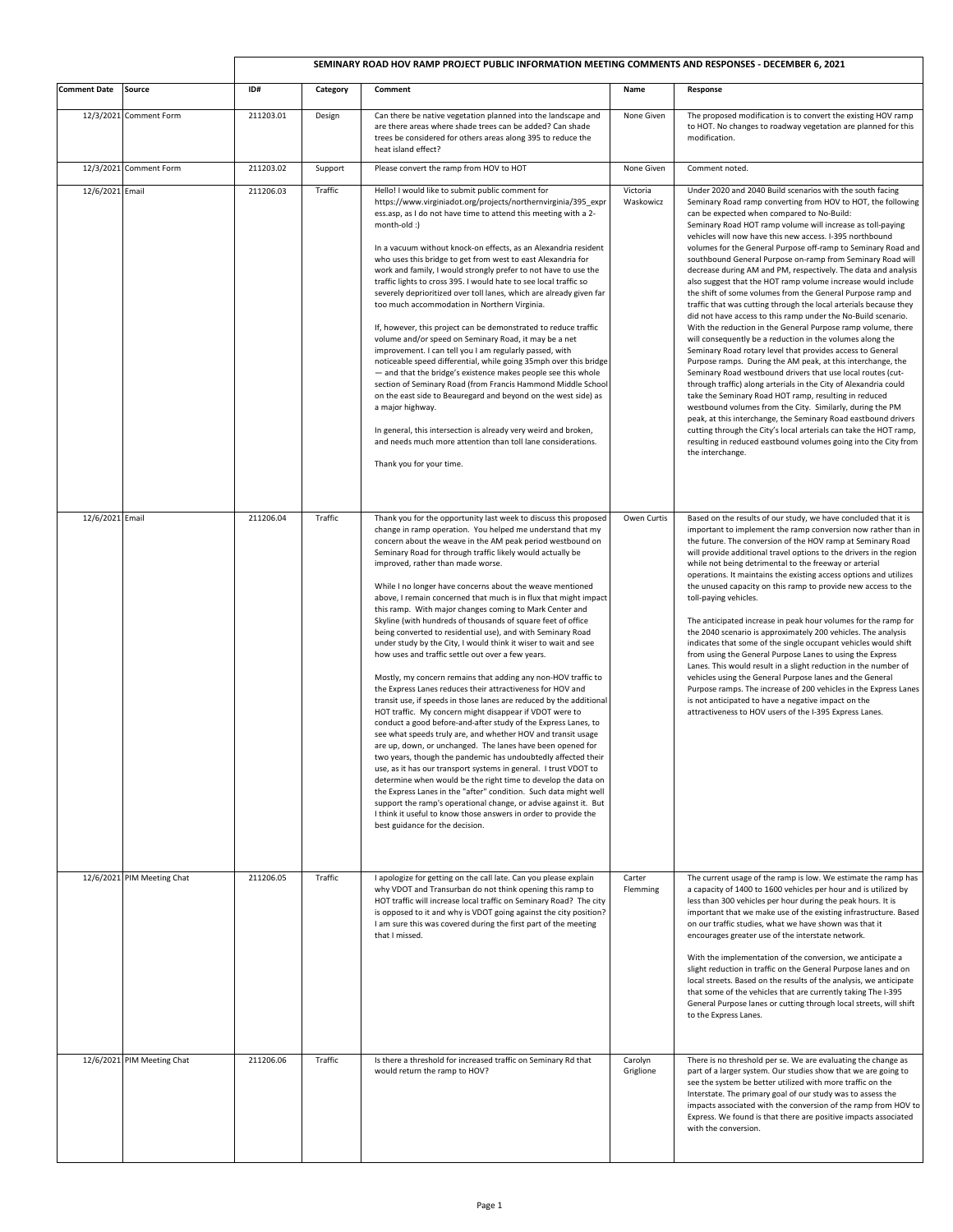## **SEMINARY ROAD HOV RAMP PROJECT PUBLIC INFORMATION MEETING COMMENTS AND RESPONSES - DECEMBER 6, 2021**

| <b>Comment Date</b> | Source                     | ID#       | Category | Comment                                                                                                                                                                                                                                                                                                                                                                                                                                                                                                                                                                                                                                                                                                                                                                                                                                                                                                                                                                                                                                                                                                                                                                                                                                                                                                                                                                                                                                                                                                                                                                                                                                                                 | Name                  | Response                                                                                                                                                                                                                                                                                                                                                                                                                                                                                                                                                                                                                                                                                                                                                                                                                                                                                                                                                                                                                                                                                                                                                                                                                                                                                                                                                                                                                                                                                                                 |
|---------------------|----------------------------|-----------|----------|-------------------------------------------------------------------------------------------------------------------------------------------------------------------------------------------------------------------------------------------------------------------------------------------------------------------------------------------------------------------------------------------------------------------------------------------------------------------------------------------------------------------------------------------------------------------------------------------------------------------------------------------------------------------------------------------------------------------------------------------------------------------------------------------------------------------------------------------------------------------------------------------------------------------------------------------------------------------------------------------------------------------------------------------------------------------------------------------------------------------------------------------------------------------------------------------------------------------------------------------------------------------------------------------------------------------------------------------------------------------------------------------------------------------------------------------------------------------------------------------------------------------------------------------------------------------------------------------------------------------------------------------------------------------------|-----------------------|--------------------------------------------------------------------------------------------------------------------------------------------------------------------------------------------------------------------------------------------------------------------------------------------------------------------------------------------------------------------------------------------------------------------------------------------------------------------------------------------------------------------------------------------------------------------------------------------------------------------------------------------------------------------------------------------------------------------------------------------------------------------------------------------------------------------------------------------------------------------------------------------------------------------------------------------------------------------------------------------------------------------------------------------------------------------------------------------------------------------------------------------------------------------------------------------------------------------------------------------------------------------------------------------------------------------------------------------------------------------------------------------------------------------------------------------------------------------------------------------------------------------------|
|                     | 12/3/2021 Comment Form     | 211203.01 | Design   | Can there be native vegetation planned into the landscape and<br>are there areas where shade trees can be added? Can shade<br>trees be considered for others areas along 395 to reduce the<br>heat island effect?                                                                                                                                                                                                                                                                                                                                                                                                                                                                                                                                                                                                                                                                                                                                                                                                                                                                                                                                                                                                                                                                                                                                                                                                                                                                                                                                                                                                                                                       | None Given            | The proposed modification is to convert the existing HOV ramp<br>to HOT. No changes to roadway vegetation are planned for this<br>modification.                                                                                                                                                                                                                                                                                                                                                                                                                                                                                                                                                                                                                                                                                                                                                                                                                                                                                                                                                                                                                                                                                                                                                                                                                                                                                                                                                                          |
|                     | 12/3/2021 Comment Form     | 211203.02 | Support  | Please convert the ramp from HOV to HOT                                                                                                                                                                                                                                                                                                                                                                                                                                                                                                                                                                                                                                                                                                                                                                                                                                                                                                                                                                                                                                                                                                                                                                                                                                                                                                                                                                                                                                                                                                                                                                                                                                 | None Given            | Comment noted.                                                                                                                                                                                                                                                                                                                                                                                                                                                                                                                                                                                                                                                                                                                                                                                                                                                                                                                                                                                                                                                                                                                                                                                                                                                                                                                                                                                                                                                                                                           |
| 12/6/2021 Email     |                            | 211206.03 | Traffic  | Hello! I would like to submit public comment for<br>https://www.virginiadot.org/projects/northernvirginia/395_expr<br>ess.asp, as I do not have time to attend this meeting with a 2-<br>month-old :)<br>In a vacuum without knock-on effects, as an Alexandria resident<br>who uses this bridge to get from west to east Alexandria for<br>work and family, I would strongly prefer to not have to use the<br>traffic lights to cross 395. I would hate to see local traffic so<br>severely deprioritized over toll lanes, which are already given far<br>too much accommodation in Northern Virginia.<br>If, however, this project can be demonstrated to reduce traffic<br>volume and/or speed on Seminary Road, it may be a net<br>improvement. I can tell you I am regularly passed, with<br>noticeable speed differential, while going 35mph over this bridge<br>- and that the bridge's existence makes people see this whole<br>section of Seminary Road (from Francis Hammond Middle School<br>on the east side to Beauregard and beyond on the west side) as<br>a major highway.<br>In general, this intersection is already very weird and broken,<br>and needs much more attention than toll lane considerations.<br>Thank you for your time.                                                                                                                                                                                                                                                                                                                                                                                                               | Victoria<br>Waskowicz | Under 2020 and 2040 Build scenarios with the south facing<br>Seminary Road ramp converting from HOV to HOT, the following<br>can be expected when compared to No-Build:<br>Seminary Road HOT ramp volume will increase as toll-paying<br>vehicles will now have this new access. I-395 northbound<br>volumes for the General Purpose off-ramp to Seminary Road and<br>southbound General Purpose on-ramp from Seminary Road will<br>decrease during AM and PM, respectively. The data and analysis<br>also suggest that the HOT ramp volume increase would include<br>the shift of some volumes from the General Purpose ramp and<br>traffic that was cutting through the local arterials because they<br>did not have access to this ramp under the No-Build scenario.<br>With the reduction in the General Purpose ramp volume, there<br>will consequently be a reduction in the volumes along the<br>Seminary Road rotary level that provides access to General<br>Purpose ramps. During the AM peak, at this interchange, the<br>Seminary Road westbound drivers that use local routes (cut-<br>through traffic) along arterials in the City of Alexandria could<br>take the Seminary Road HOT ramp, resulting in reduced<br>westbound volumes from the City. Similarly, during the PM<br>peak, at this interchange, the Seminary Road eastbound drivers<br>cutting through the City's local arterials can take the HOT ramp,<br>resulting in reduced eastbound volumes going into the City from<br>the interchange. |
| 12/6/2021 Email     |                            | 211206.04 | Traffic  | Thank you for the opportunity last week to discuss this proposed<br>change in ramp operation. You helped me understand that my<br>concern about the weave in the AM peak period westbound on<br>Seminary Road for through traffic likely would actually be<br>improved, rather than made worse.<br>While I no longer have concerns about the weave mentioned<br>above, I remain concerned that much is in flux that might impact<br>this ramp. With major changes coming to Mark Center and<br>Skyline (with hundreds of thousands of square feet of office<br>being converted to residential use), and with Seminary Road<br>under study by the City, I would think it wiser to wait and see<br>how uses and traffic settle out over a few years.<br>Mostly, my concern remains that adding any non-HOV traffic to<br>the Express Lanes reduces their attractiveness for HOV and<br>transit use, if speeds in those lanes are reduced by the additional<br>HOT traffic. My concern might disappear if VDOT were to<br>conduct a good before-and-after study of the Express Lanes, to<br>see what speeds truly are, and whether HOV and transit usage<br>are up, down, or unchanged. The lanes have been opened for<br>two years, though the pandemic has undoubtedly affected their<br>use, as it has our transport systems in general. I trust VDOT to<br>determine when would be the right time to develop the data on<br>the Express Lanes in the "after" condition. Such data might well<br>support the ramp's operational change, or advise against it. But<br>I think it useful to know those answers in order to provide the<br>best guidance for the decision. | Owen Curtis           | Based on the results of our study, we have concluded that it is<br>important to implement the ramp conversion now rather than in<br>the future. The conversion of the HOV ramp at Seminary Road<br>will provide additional travel options to the drivers in the region<br>while not being detrimental to the freeway or arterial<br>operations. It maintains the existing access options and utilizes<br>the unused capacity on this ramp to provide new access to the<br>toll-paying vehicles.<br>The anticipated increase in peak hour volumes for the ramp for<br>the 2040 scenario is approximately 200 vehicles. The analysis<br>indicates that some of the single occupant vehicles would shift<br>from using the General Purpose Lanes to using the Express<br>Lanes. This would result in a slight reduction in the number of<br>vehicles using the General Purpose lanes and the General<br>Purpose ramps. The increase of 200 vehicles in the Express Lanes<br>is not anticipated to have a negative impact on the<br>attractiveness to HOV users of the I-395 Express Lanes.                                                                                                                                                                                                                                                                                                                                                                                                                                  |
|                     | 12/6/2021 PIM Meeting Chat | 211206.05 | Traffic  | I apologize for getting on the call late. Can you please explain<br>why VDOT and Transurban do not think opening this ramp to<br>HOT traffic will increase local traffic on Seminary Road? The city<br>is opposed to it and why is VDOT going against the city position?<br>I am sure this was covered during the first part of the meeting<br>that I missed.                                                                                                                                                                                                                                                                                                                                                                                                                                                                                                                                                                                                                                                                                                                                                                                                                                                                                                                                                                                                                                                                                                                                                                                                                                                                                                           | Carter<br>Flemming    | The current usage of the ramp is low. We estimate the ramp has<br>a capacity of 1400 to 1600 vehicles per hour and is utilized by<br>less than 300 vehicles per hour during the peak hours. It is<br>important that we make use of the existing infrastructure. Based<br>on our traffic studies, what we have shown was that it<br>encourages greater use of the interstate network.<br>With the implementation of the conversion, we anticipate a<br>slight reduction in traffic on the General Purpose lanes and on<br>local streets. Based on the results of the analysis, we anticipate<br>that some of the vehicles that are currently taking The I-395<br>General Purpose lanes or cutting through local streets, will shift<br>to the Express Lanes.                                                                                                                                                                                                                                                                                                                                                                                                                                                                                                                                                                                                                                                                                                                                                              |
|                     | 12/6/2021 PIM Meeting Chat | 211206.06 | Traffic  | Is there a threshold for increased traffic on Seminary Rd that<br>would return the ramp to HOV?                                                                                                                                                                                                                                                                                                                                                                                                                                                                                                                                                                                                                                                                                                                                                                                                                                                                                                                                                                                                                                                                                                                                                                                                                                                                                                                                                                                                                                                                                                                                                                         | Carolyn<br>Griglione  | There is no threshold per se. We are evaluating the change as<br>part of a larger system. Our studies show that we are going to<br>see the system be better utilized with more traffic on the<br>Interstate. The primary goal of our study was to assess the<br>impacts associated with the conversion of the ramp from HOV to<br>Express. We found is that there are positive impacts associated<br>with the conversion.                                                                                                                                                                                                                                                                                                                                                                                                                                                                                                                                                                                                                                                                                                                                                                                                                                                                                                                                                                                                                                                                                                |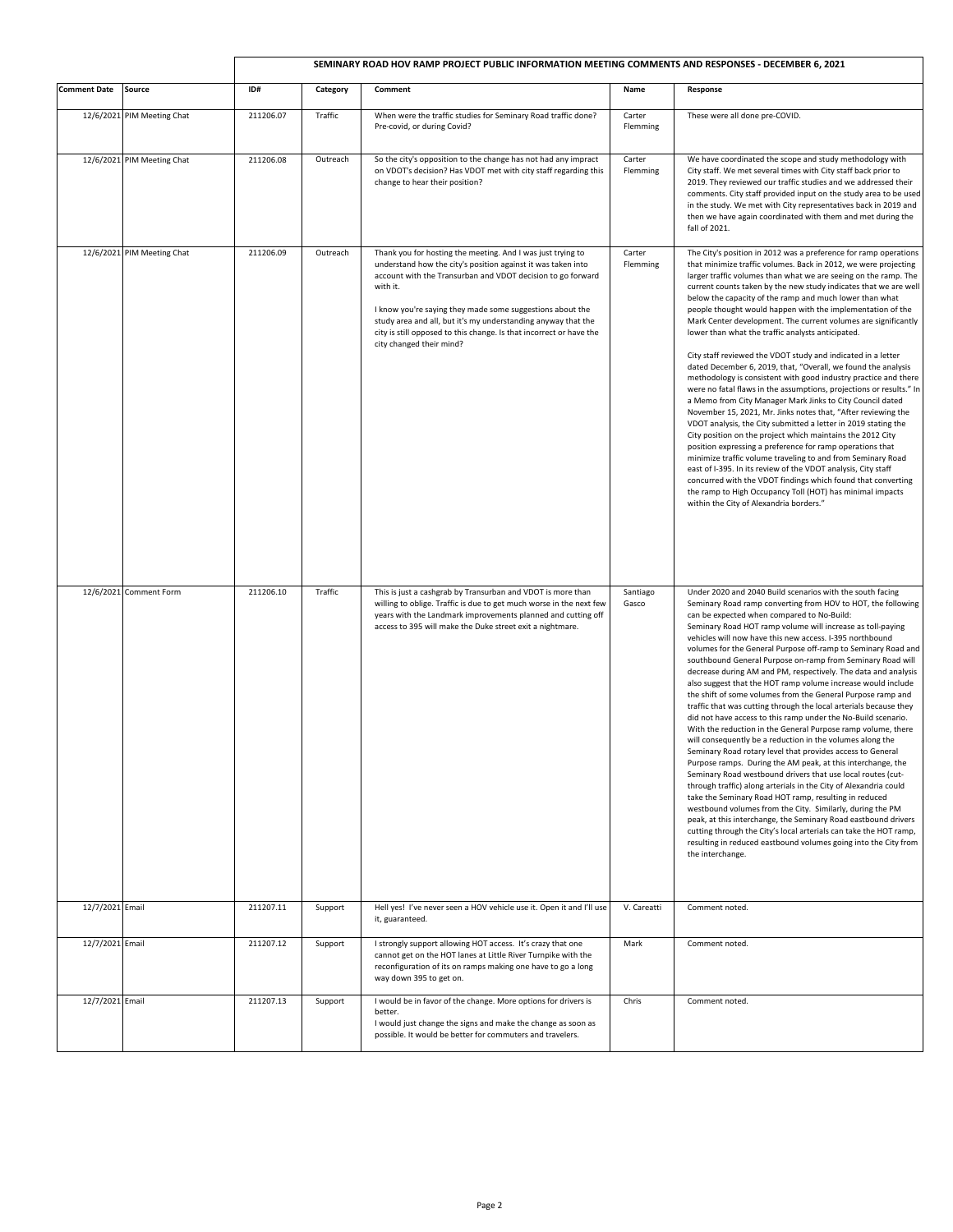|                     |                            | SEMINARY ROAD HOV RAMP PROJECT PUBLIC INFORMATION MEETING COMMENTS AND RESPONSES - DECEMBER 6, 2021 |          |                                                                                                                                                                                                                                                                                                                                                                                                                                         |                    |                                                                                                                                                                                                                                                                                                                                                                                                                                                                                                                                                                                                                                                                                                                                                                                                                                                                                                                                                                                                                                                                                                                                                                                                                                                                                                                                                                                                                                                                                                                          |
|---------------------|----------------------------|-----------------------------------------------------------------------------------------------------|----------|-----------------------------------------------------------------------------------------------------------------------------------------------------------------------------------------------------------------------------------------------------------------------------------------------------------------------------------------------------------------------------------------------------------------------------------------|--------------------|--------------------------------------------------------------------------------------------------------------------------------------------------------------------------------------------------------------------------------------------------------------------------------------------------------------------------------------------------------------------------------------------------------------------------------------------------------------------------------------------------------------------------------------------------------------------------------------------------------------------------------------------------------------------------------------------------------------------------------------------------------------------------------------------------------------------------------------------------------------------------------------------------------------------------------------------------------------------------------------------------------------------------------------------------------------------------------------------------------------------------------------------------------------------------------------------------------------------------------------------------------------------------------------------------------------------------------------------------------------------------------------------------------------------------------------------------------------------------------------------------------------------------|
| <b>Comment Date</b> | Source                     | ID#                                                                                                 | Category | Comment                                                                                                                                                                                                                                                                                                                                                                                                                                 | Name               | Response                                                                                                                                                                                                                                                                                                                                                                                                                                                                                                                                                                                                                                                                                                                                                                                                                                                                                                                                                                                                                                                                                                                                                                                                                                                                                                                                                                                                                                                                                                                 |
|                     | 12/6/2021 PIM Meeting Chat | 211206.07                                                                                           | Traffic  | When were the traffic studies for Seminary Road traffic done?<br>Pre-covid, or during Covid?                                                                                                                                                                                                                                                                                                                                            | Carter<br>Flemming | These were all done pre-COVID.                                                                                                                                                                                                                                                                                                                                                                                                                                                                                                                                                                                                                                                                                                                                                                                                                                                                                                                                                                                                                                                                                                                                                                                                                                                                                                                                                                                                                                                                                           |
|                     | 12/6/2021 PIM Meeting Chat | 211206.08                                                                                           | Outreach | So the city's opposition to the change has not had any impract<br>on VDOT's decision? Has VDOT met with city staff regarding this<br>change to hear their position?                                                                                                                                                                                                                                                                     | Carter<br>Flemming | We have coordinated the scope and study methodology with<br>City staff. We met several times with City staff back prior to<br>2019. They reviewed our traffic studies and we addressed their<br>comments. City staff provided input on the study area to be used<br>in the study. We met with City representatives back in 2019 and<br>then we have again coordinated with them and met during the<br>fall of 2021.                                                                                                                                                                                                                                                                                                                                                                                                                                                                                                                                                                                                                                                                                                                                                                                                                                                                                                                                                                                                                                                                                                      |
|                     | 12/6/2021 PIM Meeting Chat | 211206.09                                                                                           | Outreach | Thank you for hosting the meeting. And I was just trying to<br>understand how the city's position against it was taken into<br>account with the Transurban and VDOT decision to go forward<br>with it.<br>I know you're saying they made some suggestions about the<br>study area and all, but it's my understanding anyway that the<br>city is still opposed to this change. Is that incorrect or have the<br>city changed their mind? | Carter<br>Flemming | The City's position in 2012 was a preference for ramp operations<br>that minimize traffic volumes. Back in 2012, we were projecting<br>larger traffic volumes than what we are seeing on the ramp. The<br>current counts taken by the new study indicates that we are well<br>below the capacity of the ramp and much lower than what<br>people thought would happen with the implementation of the<br>Mark Center development. The current volumes are significantly<br>lower than what the traffic analysts anticipated.<br>City staff reviewed the VDOT study and indicated in a letter<br>dated December 6, 2019, that, "Overall, we found the analysis<br>methodology is consistent with good industry practice and there<br>were no fatal flaws in the assumptions, projections or results." In<br>a Memo from City Manager Mark Jinks to City Council dated<br>November 15, 2021, Mr. Jinks notes that, "After reviewing the<br>VDOT analysis, the City submitted a letter in 2019 stating the<br>City position on the project which maintains the 2012 City<br>position expressing a preference for ramp operations that<br>minimize traffic volume traveling to and from Seminary Road<br>east of I-395. In its review of the VDOT analysis, City staff<br>concurred with the VDOT findings which found that converting<br>the ramp to High Occupancy Toll (HOT) has minimal impacts<br>within the City of Alexandria borders."                                                                                 |
|                     | 12/6/2021 Comment Form     | 211206.10                                                                                           | Traffic  | This is just a cashgrab by Transurban and VDOT is more than<br>willing to oblige. Traffic is due to get much worse in the next few<br>years with the Landmark improvements planned and cutting off<br>access to 395 will make the Duke street exit a nightmare.                                                                                                                                                                         | Santiago<br>Gasco  | Under 2020 and 2040 Build scenarios with the south facing<br>Seminary Road ramp converting from HOV to HOT, the following<br>can be expected when compared to No-Build:<br>Seminary Road HOT ramp volume will increase as toll-paying<br>vehicles will now have this new access. I-395 northbound<br>volumes for the General Purpose off-ramp to Seminary Road and<br>southbound General Purpose on-ramp from Seminary Road will<br>decrease during AM and PM, respectively. The data and analysis<br>also suggest that the HOT ramp volume increase would include<br>the shift of some volumes from the General Purpose ramp and<br>traffic that was cutting through the local arterials because they<br>did not have access to this ramp under the No-Build scenario.<br>With the reduction in the General Purpose ramp volume, there<br>will consequently be a reduction in the volumes along the<br>Seminary Road rotary level that provides access to General<br>Purpose ramps. During the AM peak, at this interchange, the<br>Seminary Road westbound drivers that use local routes (cut-<br>through traffic) along arterials in the City of Alexandria could<br>take the Seminary Road HOT ramp, resulting in reduced<br>westbound volumes from the City. Similarly, during the PM<br>peak, at this interchange, the Seminary Road eastbound drivers<br>cutting through the City's local arterials can take the HOT ramp,<br>resulting in reduced eastbound volumes going into the City from<br>the interchange. |
| 12/7/2021 Email     |                            | 211207.11                                                                                           | Support  | Hell yes! I've never seen a HOV vehicle use it. Open it and I'll use<br>it, guaranteed.                                                                                                                                                                                                                                                                                                                                                 | V. Careatti        | Comment noted.                                                                                                                                                                                                                                                                                                                                                                                                                                                                                                                                                                                                                                                                                                                                                                                                                                                                                                                                                                                                                                                                                                                                                                                                                                                                                                                                                                                                                                                                                                           |
| 12/7/2021 Email     |                            | 211207.12                                                                                           | Support  | I strongly support allowing HOT access. It's crazy that one<br>cannot get on the HOT lanes at Little River Turnpike with the<br>reconfiguration of its on ramps making one have to go a long<br>way down 395 to get on.                                                                                                                                                                                                                 | Mark               | Comment noted.                                                                                                                                                                                                                                                                                                                                                                                                                                                                                                                                                                                                                                                                                                                                                                                                                                                                                                                                                                                                                                                                                                                                                                                                                                                                                                                                                                                                                                                                                                           |
| 12/7/2021 Email     |                            | 211207.13                                                                                           | Support  | I would be in favor of the change. More options for drivers is<br>better.<br>I would just change the signs and make the change as soon as<br>possible. It would be better for commuters and travelers.                                                                                                                                                                                                                                  | Chris              | Comment noted.                                                                                                                                                                                                                                                                                                                                                                                                                                                                                                                                                                                                                                                                                                                                                                                                                                                                                                                                                                                                                                                                                                                                                                                                                                                                                                                                                                                                                                                                                                           |